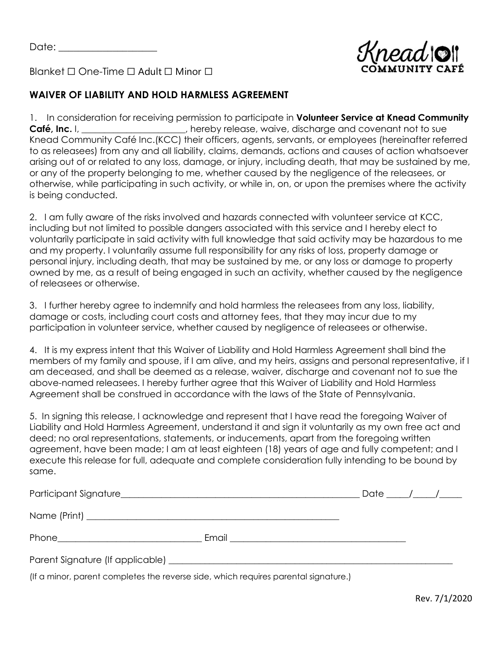Date:  $\Box$ 



Blanket ☐ One-Time ☐ Adult ☐ Minor ☐

## **WAIVER OF LIABILITY AND HOLD HARMLESS AGREEMENT**

1. In consideration for receiving permission to participate in **Volunteer Service at Knead Community Café, Inc.** I, \_\_\_\_\_\_\_\_\_\_\_\_\_\_\_\_\_, hereby release, waive, discharge and covenant not to sue Knead Community Café Inc.(KCC) their officers, agents, servants, or employees (hereinafter referred to as releasees) from any and all liability, claims, demands, actions and causes of action whatsoever arising out of or related to any loss, damage, or injury, including death, that may be sustained by me, or any of the property belonging to me, whether caused by the negligence of the releasees, or otherwise, while participating in such activity, or while in, on, or upon the premises where the activity is being conducted.

2. I am fully aware of the risks involved and hazards connected with volunteer service at KCC, including but not limited to possible dangers associated with this service and I hereby elect to voluntarily participate in said activity with full knowledge that said activity may be hazardous to me and my property. I voluntarily assume full responsibility for any risks of loss, property damage or personal injury, including death, that may be sustained by me, or any loss or damage to property owned by me, as a result of being engaged in such an activity, whether caused by the negligence of releasees or otherwise.

3. I further hereby agree to indemnify and hold harmless the releasees from any loss, liability, damage or costs, including court costs and attorney fees, that they may incur due to my participation in volunteer service, whether caused by negligence of releasees or otherwise.

4. It is my express intent that this Waiver of Liability and Hold Harmless Agreement shall bind the members of my family and spouse, if I am alive, and my heirs, assigns and personal representative, if I am deceased, and shall be deemed as a release, waiver, discharge and covenant not to sue the above-named releasees. I hereby further agree that this Waiver of Liability and Hold Harmless Agreement shall be construed in accordance with the laws of the State of Pennsylvania.

5. In signing this release, I acknowledge and represent that I have read the foregoing Waiver of Liability and Hold Harmless Agreement, understand it and sign it voluntarily as my own free act and deed; no oral representations, statements, or inducements, apart from the foregoing written agreement, have been made; I am at least eighteen (18) years of age and fully competent; and I execute this release for full, adequate and complete consideration fully intending to be bound by same.

|                                                                                     |                                               | Date / / |  |
|-------------------------------------------------------------------------------------|-----------------------------------------------|----------|--|
|                                                                                     |                                               |          |  |
|                                                                                     | Email <u>________________________________</u> |          |  |
|                                                                                     |                                               |          |  |
| (If a minor, parent completes the reverse side, which requires parental signature.) |                                               |          |  |

Rev. 7/1/2020